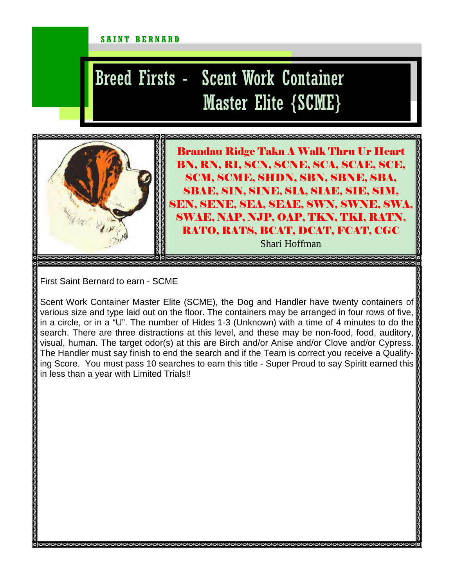## SAINT BERNARD

## Breed Firsts - Scent Work Container Master Elite {SCME}



Brandau Ridge Takn A Walk Thru Ur Heart BN, RN, RI, SCN, SCNE, SCA, SCAE, SCE, SCM, SCME, SHDN, SBN, SBNE, SBA, SBAE, SIN, SINE, SIA, SIAE, SIE, SIM, SEN, SENE, SEA, SEAE, SWN, SWNE, SWA, SWAE, NAP, NJP, OAP, TKN, TKI, RATN, RATO, RATS, BCAT, DCAT, FCAT, CGC

Shari Hoffman

First Saint Bernard to earn - SCME

Scent Work Container Master Elite (SCME), the Dog and Handler have twenty containers of various size and type laid out on the floor. The containers may be arranged in four rows of five, in a circle, or in a "U". The number of Hides 1-3 (Unknown) with a time of 4 minutes to do the search. There are three distractions at this level, and these may be non-food, food, auditory, visual, human. The target odor(s) at this are Birch and/or Anise and/or Clove and/or Cypress. The Handler must say finish to end the search and if the Team is correct you receive a Qualifying Score. You must pass 10 searches to earn this title - Super Proud to say Spiritt earned this in less than a year with Limited Trials!!